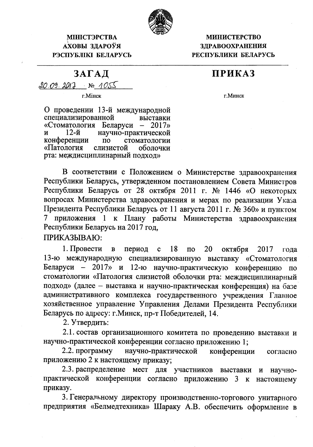

**МІНІСТЭРСТВА** АХОВЫ ЗДАРОЎЯ РЭСПУБЛІКІ БЕЛАРУСЬ

**МИНИСТЕРСТВО ЗДРАВООХРАНЕНИЯ** РЕСПУБЛИКИ БЕЛАРУСЬ

## **ПРИКАЗ**

 $20.09.2013$  No  $1055$ 

г. Мінск

ЗАГАД

г. Минск

О проведении 13-й международной специализированной выставки «Стоматология Беларуси - 2017»  $12-*й*$ научно-практической И конференции  $\overline{u}$ стоматологии «Патология слизистой оболочки рта: междисциплинарный подход»

В соответствии с Положением о Министерстве здравоохранения Республики Беларусь, утвержденном постановлением Совета Министров Республики Беларусь от 28 октября 2011 г. № 1446 «О некоторых вопросах Министерства здравоохранения и мерах по реализации Указа Президента Республики Беларусь от 11 августа 2011 г. № 360» и пунктом 7 приложения 1 к Плану работы Министерства здравоохранения Республики Беларусь на 2017 год,

ПРИКАЗЫВАЮ:

период с 1. Провести  $\mathbf{B}$ 18  $\overline{a}$ 20 октября 2017 года 13-ю международную специализированную выставку «Стоматология Беларуси - 2017» и 12-ю научно-практическую конференцию по стоматологии «Патология слизистой оболочки рта: междисциплинарный подход» (далее - выставка и научно-практическая конференция) на базе административного комплекса государственного учреждения Главное хозяйственное управление Управления Делами Президента Республики Беларусь по адресу: г. Минск, пр-т Победителей, 14.

2. Утвердить:

2.1. состав организационного комитета по проведению выставки и научно-практической конференции согласно приложению 1;

2.2. программу научно-практической конференции согласно приложению 2 к настоящему приказу;

2.3. распределение мест для участников выставки и научнопрактической конференции согласно приложению 3 к настоящему приказу.

3. Генеральному директору производственно-торгового унитарного предприятия «Белмедтехника» Шараку А.В. обеспечить оформление в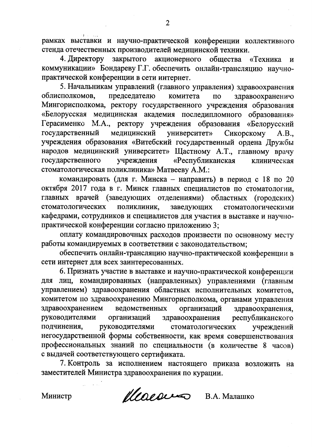рамках выставки и научно-практической конференции коллективного стенда отечественных производителей медицинской техники.

закрытого акционерного общества «Техника 4. Директору  $\mathbf{M}$ коммуникации» Бондареву Г.Г. обеспечить онлайн-трансляцию научнопрактической конференции в сети интернет.

5. Начальникам управлений (главного управления) здравоохранения председателю комитета облисполкомов, здравоохранению  $\overline{a}$ Мингорисполкома, ректору государственного учреждения образования «Белорусская медицинская академия последипломного образования» Герасименко М.А., ректору учреждения образования «Белорусский государственный медицинский университет» Сикорскому  $A.B.,$ учреждения образования «Витебский государственный ордена Дружбы народов медицинский университет» Щастному А.Т., главному врачу учреждения государственного «Республиканская клиническая стоматологическая поликлиника» Матвееву А.М.:

командировать (для г. Минска - направить) в период с 18 по 20 октября 2017 года в г. Минск главных специалистов по стоматологии, главных врачей (заведующих отделениями) областных (городских) стоматологических поликлиник, заведующих стоматологическими кафедрами, сотрудников и специалистов для участия в выставке и научнопрактической конференции согласно приложению 3;

оплату командировочных расходов произвести по основному месту работы командируемых в соответствии с законодательством;

обеспечить онлайн-трансляцию научно-практической конференции в сети интернет для всех заинтересованных.

6. Признать участие в выставке и научно-практической конференции для лиц, командированных (направленных) управлениями (главным управлением) здравоохранения областных исполнительных комитетов, комитетом по здравоохранению Мингорисполкома, органами управления здравоохранением ведомственных организаций здравоохранения, руководителями организаций здравоохранения республиканского стоматологических подчинения, руководителями учреждений негосударственной формы собственности, как время совершенствования профессиональных знаний по специальности (в количестве 8 часов) с выдачей соответствующего сертификата.

7. Контроль за исполнением настоящего приказа возложить на заместителей Министра здравоохранения по курации.

Министр

Macoura В.А. Малашко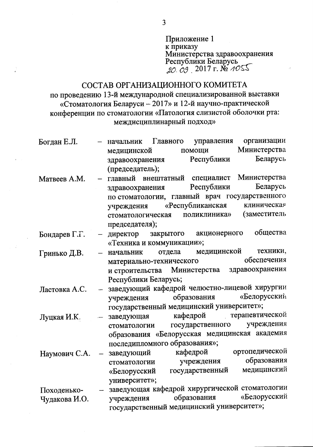Приложение 1 к приказу Министерства здравоохранения Республики Беларусь  $20.09$ , 2017 r. No 1055

## СОСТАВ ОРГАНИЗАЦИОННОГО КОМИТЕТА по проведению 13-й международной специализированной выставки «Стоматология Беларуси - 2017» и 12-й научно-практической конференции по стоматологии «Патология слизистой оболочки рта: междисциплинарный подход»

- организации Боглан Е.Л. начальник Главного управления Министерства помощи медицинской Беларусь Республики здравоохранения (председатель);
- Министерства специалист Матвеев А.М. главный внештатный Беларусь Республики здравоохранения по стоматологии, главный врач государственного «Республиканская клиническая учреждения (заместитель стоматологическая поликлиника» председателя);
- общества акционерного Бондарев Г.Г. директор закрытого «Техника и коммуникации»;
- медицинской техники, Гринько Д.В. начальник отдела обеспечения материально-технического здравоохранения и строительства Министерства Республики Беларусь;

заведующий кафедрой челюстно-лицевой хирургии Ластовка А.С. образования «Белорусский учреждения государственный медицинский университет»;

терапевтической кафедрой заведующая Луцкая И.К. учреждения государственного стоматологии образования «Белорусская медицинская академия последипломного образования»;

кафедрой ортопедической заведующий Наумович С.А. учреждения образования стоматологии медицинский государственный «Белорусский университет»;

заведующая кафедрой хирургической стоматологии Походенько-«Белорусский образования учреждения Чудакова И.О. государственный медицинский университет»;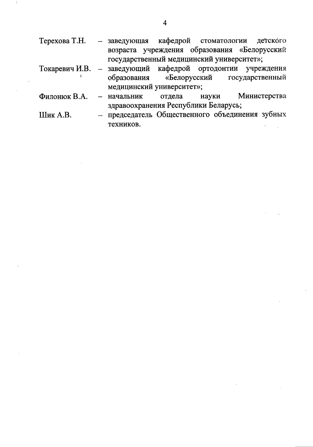- Терехова Т.Н. заведующая кафедрой стоматологии детского возраста учреждения образования «Белорусский государственный медицинский университет»;
- учреждения Токаревич И.В. заведующий кафедрой ортодонтии «Белорусский образования государственный медицинский университет»;
- Филонюк В.А. отдела науки Министерства начальник здравоохранения Республики Беларусь;
- Шик А.В. - председатель Общественного объединения зубных техников.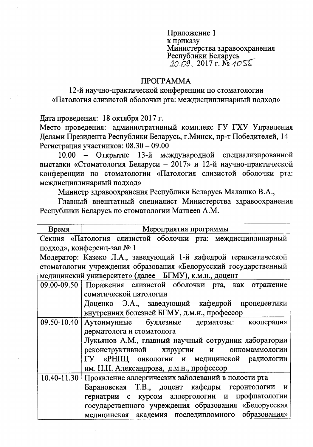Приложение 1 к приказу Министерства здравоохранения Республики Беларусь  $20.09.2017$  r. No 1055

## **TIPOTPAMMA**

12-й научно-практической конференции по стоматологии «Патология слизистой оболочки рта: междисциплинарный подход»

Дата проведения: 18 октября 2017 г.

Место проведения: административный комплекс ГУ ГХУ Управления Делами Президента Республики Беларусь, г. Минск, пр-т Победителей, 14 Регистрация участников: 08.30 - 09.00

10.00 - Открытие 13-й международной специализированной выставки «Стоматология Беларуси - 2017» и 12-й научно-практической конференции по стоматологии «Патология слизистой оболочки рта: междисциплинарный подход»

Министр здравоохранения Республики Беларусь Малашко В.А.,

Главный внештатный специалист Министерства здравоохранения Республики Беларусь по стоматологии Матвеев А.М.

| Время       | Мероприятия программы                                            |  |  |  |
|-------------|------------------------------------------------------------------|--|--|--|
|             | Секция «Патология слизистой оболочки рта: междисциплинарный      |  |  |  |
|             | подход», конференц-зал № 1                                       |  |  |  |
|             | Модератор: Казеко Л.А., заведующий 1-й кафедрой терапевтической  |  |  |  |
|             | стоматологии учреждения образования «Белорусский государственный |  |  |  |
|             | медицинский университет» (далее - БГМУ), к.м.н., доцент          |  |  |  |
|             | 09.00-09.50 Поражения слизистой оболочки рта, как отражение      |  |  |  |
|             | соматической патологии                                           |  |  |  |
|             | Доценко Э.А., заведующий кафедрой пропедевтики                   |  |  |  |
|             | внутренних болезней БГМУ, д.м.н., профессор                      |  |  |  |
| 09.50-10.40 | Аутоимунные буллезные дерматозы: кооперация                      |  |  |  |
|             | дерматолога и стоматолога                                        |  |  |  |
|             | Лукьянов А.М., главный научный сотрудник лаборатории             |  |  |  |
|             | реконструктивной хирургии<br>онкомаммологии<br>$\mathbf{M}$      |  |  |  |
|             | ГУ «РНПЦ онкологии и медицинской радиологии                      |  |  |  |
|             | им. Н.Н. Александрова, д.м.н., профессор                         |  |  |  |
|             | 10.40-11.30 Проявление аллергических заболеваний в полости рта   |  |  |  |
|             | Барановская Т.В., доцент кафедры геронтологии и                  |  |  |  |
|             | гериатрии с курсом аллергологии и профпатологии                  |  |  |  |
|             | государственного учреждения образования «Белорусская             |  |  |  |
|             | медицинская академия последипломного образования»                |  |  |  |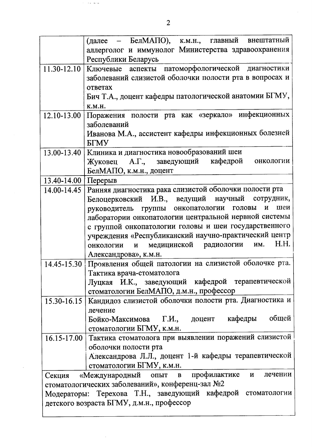|                                                             | (далее - БелМАПО), к.м.н., главный внештатный                                   |  |  |  |
|-------------------------------------------------------------|---------------------------------------------------------------------------------|--|--|--|
|                                                             | аллерголог и иммунолог Министерства здравоохранения                             |  |  |  |
|                                                             | Республики Беларусь                                                             |  |  |  |
| $11.30 - 12.10$                                             | Ключевые аспекты патоморфологической диагностики                                |  |  |  |
|                                                             | заболеваний слизистой оболочки полости рта в вопросах и                         |  |  |  |
|                                                             | ответах                                                                         |  |  |  |
|                                                             | Бич Т.А., доцент кафедры патологической анатомии БГМУ,                          |  |  |  |
|                                                             | <b>K.M.H.</b>                                                                   |  |  |  |
| $12.10 - 13.00$                                             | Поражения полости рта как «зеркало» инфекционных                                |  |  |  |
|                                                             | заболеваний                                                                     |  |  |  |
|                                                             | Иванова М.А., ассистент кафедры инфекционных болезней                           |  |  |  |
|                                                             | <b>GTMY</b>                                                                     |  |  |  |
| $13.00 - 13.40$                                             | Клиника и диагностика новообразований шеи                                       |  |  |  |
|                                                             | Жуковец А.Г., заведующий кафедрой<br>онкологии                                  |  |  |  |
|                                                             | БелМАПО, к.м.н., доцент                                                         |  |  |  |
| 13.40-14.00 Перерыв                                         |                                                                                 |  |  |  |
| $14.00 - 14.45$                                             | Ранняя диагностика рака слизистой оболочки полости рта                          |  |  |  |
|                                                             | Белоцерковский И.В., ведущий научный сотрудник,                                 |  |  |  |
|                                                             | руководитель группы онкопатологии<br>$\boldsymbol{\mathsf{M}}$<br>ГОЛОВЫ<br>шеи |  |  |  |
|                                                             | лаборатории онкопатологии центральной нервной системы                           |  |  |  |
|                                                             | с группой онкопатологии головы и шеи государственного                           |  |  |  |
|                                                             | учреждения «Республиканский научно-практический центр                           |  |  |  |
|                                                             | H.H.<br>медицинской радиологии<br>HM.<br>онкологии<br>$\mathbf{M}$              |  |  |  |
|                                                             | Александрова», к.м.н.                                                           |  |  |  |
|                                                             | 14.45-15.30 Проявления общей патологии на слизистой оболочке рта.               |  |  |  |
|                                                             | Тактика врача-стоматолога                                                       |  |  |  |
|                                                             | Луцкая И.К., заведующий кафедрой терапевтической                                |  |  |  |
|                                                             | стоматологии БелМАПО, д.м.н., профессор                                         |  |  |  |
| 15.30-16.15                                                 | Кандидоз слизистой оболочки полости рта. Диагностика и                          |  |  |  |
|                                                             | лечение                                                                         |  |  |  |
|                                                             | Бойко-Максимова Г.И., доцент кафедры общей                                      |  |  |  |
|                                                             | стоматологии БГМУ, к.м.н.                                                       |  |  |  |
| 16.15-17.00                                                 | Тактика стоматолога при выявлении поражений слизистой                           |  |  |  |
|                                                             | оболочки полости рта                                                            |  |  |  |
|                                                             | Александрова Л.Л., доцент 1-й кафедры терапевтической                           |  |  |  |
|                                                             | стоматологии БГМУ, к.м.н.                                                       |  |  |  |
| Секция                                                      | «Международный опыт в профилактике и<br>лечении                                 |  |  |  |
| стоматологических заболеваний», конференц-зал №2            |                                                                                 |  |  |  |
| Модераторы: Терехова Т.Н., заведующий кафедрой стоматологии |                                                                                 |  |  |  |
| детского возраста БГМУ, д.м.н., профессор                   |                                                                                 |  |  |  |
|                                                             |                                                                                 |  |  |  |

 $\hat{\mathcal{A}}$  $\sim 10$  km cm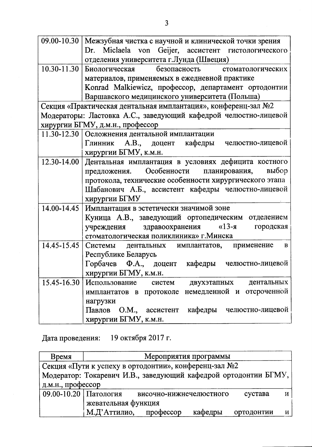|                 | 09.00-10.30   Межзубная чистка с научной и клинической точки зрения |  |  |  |
|-----------------|---------------------------------------------------------------------|--|--|--|
|                 | Dr. Miclaela von Geijer, ассистент гистологического                 |  |  |  |
|                 | отделения университета г.Лунда (Швеция)                             |  |  |  |
| $10.30 - 11.30$ | безопасность стоматологических<br>Биологическая                     |  |  |  |
|                 | материалов, применяемых в ежедневной практике                       |  |  |  |
|                 | Konrad Malkiewicz, профессор, департамент ортодонтии                |  |  |  |
|                 | Варшавского медицинского университета (Польша)                      |  |  |  |
|                 | Секция «Практическая дентальная имплантация», конференц-зал №2      |  |  |  |
|                 | Модераторы: Ластовка А.С., заведующий кафедрой челюстно-лицевой     |  |  |  |
|                 | хирургии БГМУ, д.м.н., профессор                                    |  |  |  |
|                 | 11.30-12.30 Осложнения дентальной имплантации                       |  |  |  |
|                 | Глинник А.В., доцент кафедры челюстно-лицевой                       |  |  |  |
|                 | хирургии БГМУ, к.м.н.                                               |  |  |  |
| 12.30-14.00     | Дентальная имплантация в условиях дефицита костного                 |  |  |  |
|                 | предложения. Особенности планирования, выбор                        |  |  |  |
|                 | протокола, технические особенности хирургического этапа             |  |  |  |
|                 | Шабанович А.Б., ассистент кафедры челюстно-лицевой                  |  |  |  |
|                 | хирургии БГМУ                                                       |  |  |  |
| 14.00-14.45     | Имплантация в эстетически значимой зоне                             |  |  |  |
|                 | Куница А.В., заведующий ортопедическим отделением                   |  |  |  |
|                 | учреждения здравоохранения «13-я городская                          |  |  |  |
|                 | стоматологическая поликлиника» г. Минска                            |  |  |  |
| 14.45-15.45     | дентальных имплантатов, применение<br>Системы<br>$\bf{B}$           |  |  |  |
|                 | Республике Беларусь                                                 |  |  |  |
|                 | Горбачев Ф.А., доцент кафедры челюстно-лицевой                      |  |  |  |
|                 | хирургии БГМУ, к.м.н.                                               |  |  |  |
| 15.45-16.30     | Использование<br>дентальных<br>систем<br>двухэтапных                |  |  |  |
|                 | немедленной и<br>отсроченной<br>протоколе<br>имплантатов в          |  |  |  |
|                 | нагрузки                                                            |  |  |  |
|                 | кафедры челюстно-лицевой<br>Павлов<br>О.М., ассистент               |  |  |  |
|                 | хирургии БГМУ, к.м.н.                                               |  |  |  |

19 октября 2017 г. Дата проведения:

| Время                                                           | Мероприятия программы |                         |         |            |   |
|-----------------------------------------------------------------|-----------------------|-------------------------|---------|------------|---|
| Секция «Пути к успеху в ортодонтии», конференц-зал №2           |                       |                         |         |            |   |
| Модератор: Токаревич И.В., заведующий кафедрой ортодонтии БГМУ, |                       |                         |         |            |   |
| д.м.н., профессор                                               |                       |                         |         |            |   |
| 09.00-10.20   Патология                                         |                       | височно-нижнечелюстного |         | сустава    |   |
|                                                                 | жевательная функция   |                         |         |            |   |
|                                                                 | М.Д'Аттилио,          | профессор               | кафедры | ортодонтии | И |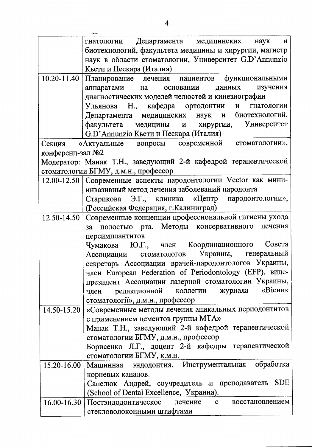|                  | Департамента медицинских<br>гнатологии<br>наук<br>И                                                                                                                   |
|------------------|-----------------------------------------------------------------------------------------------------------------------------------------------------------------------|
|                  | биотехнологий, факультета медицины и хирургии, магистр                                                                                                                |
|                  | наук в области стоматологии, Университет G.D'Annunzio                                                                                                                 |
|                  | Кьети и Пескара (Италия)                                                                                                                                              |
| 10.20-11.40      | Планирование лечения пациентов функциональными                                                                                                                        |
|                  | данных<br>аппаратами<br>основании<br>изучения<br>на                                                                                                                   |
|                  | диагностических моделей челюстей и кинезиографии                                                                                                                      |
|                  | Ульянова Н., кафедра ортодонтии и гнатологии                                                                                                                          |
|                  | Департамента медицинских наук и биотехнологий,                                                                                                                        |
|                  | факультета медицины и хирургии, Университет                                                                                                                           |
|                  | G.D'Annunzio Кьети и Пескара (Италия)                                                                                                                                 |
| Секция           | «Актуальные вопросы современной стоматологии»,                                                                                                                        |
| конференц-зал №2 |                                                                                                                                                                       |
|                  | Модератор: Манак Т.Н., заведующий 2-й кафедрой терапевтической                                                                                                        |
|                  | стоматологии БГМУ, д.м.н., профессор                                                                                                                                  |
| 12.00-12.50      | Современные аспекты пародонтологии Vector как мини-                                                                                                                   |
|                  | инвазивный метод лечения заболеваний пародонта                                                                                                                        |
|                  | Старикова Э.Г., клиника «Центр пародонтологии»,                                                                                                                       |
|                  | (Российская Федерация, г. Калиниград)                                                                                                                                 |
| 12.50-14.50      | Современные концепции профессиональной гигиены ухода                                                                                                                  |
|                  | за полостью рта. Методы консервативного<br>лечения                                                                                                                    |
|                  | переимплантитов                                                                                                                                                       |
|                  | Совета<br>Чумакова Ю.Г., член Координационного                                                                                                                        |
|                  | Украины, генеральный<br>стоматологов<br>Ассоциации                                                                                                                    |
|                  | секретарь Ассоциации врачей-пародонтологов Украины,                                                                                                                   |
|                  | член European Federation of Periodontology (EFP), вице-                                                                                                               |
|                  | президент Ассоциации лазерной стоматологии Украины,                                                                                                                   |
|                  | журнала «Вісник<br>член редакционной<br>коллегии                                                                                                                      |
|                  | стоматології», д.м.н., профессор                                                                                                                                      |
| 14.50-15.20      | «Современные методы лечения апикальных периодонтитов                                                                                                                  |
|                  | с применением цементов группы МТА»                                                                                                                                    |
|                  | Манак Т.Н., заведующий 2-й кафедрой терапевтической                                                                                                                   |
|                  | стоматологии БГМУ, д.м.н., профессор                                                                                                                                  |
|                  | Борисенко Л.Г., доцент 2-й кафедры терапевтической                                                                                                                    |
|                  |                                                                                                                                                                       |
|                  | стоматологии БГМУ, к.м.н.                                                                                                                                             |
| 15.20-16.00      | Машинная эндодонтия. Инструментальная обработка                                                                                                                       |
|                  | корневых каналов.                                                                                                                                                     |
|                  |                                                                                                                                                                       |
|                  |                                                                                                                                                                       |
|                  | (School of Dental Excellence, Украина).                                                                                                                               |
|                  | Сапелюк Андрей, соучредитель и преподаватель SDE<br>$16.00 - 16.30$   Постэндодонтическое<br>лечение<br>$\mathbf{C}$<br>восстановлением<br>стекловолоконными штифтами |

 $\hat{\mathcal{A}}$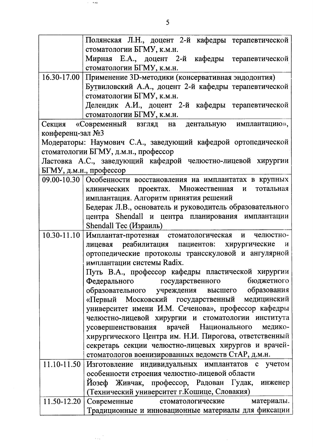|                            | Полянская Л.Н., доцент 2-й кафедры терапевтической                                                                                                                                                                                                                                                                                                                                                                                                                                                                                                                                                                                                                                                 |  |  |  |
|----------------------------|----------------------------------------------------------------------------------------------------------------------------------------------------------------------------------------------------------------------------------------------------------------------------------------------------------------------------------------------------------------------------------------------------------------------------------------------------------------------------------------------------------------------------------------------------------------------------------------------------------------------------------------------------------------------------------------------------|--|--|--|
|                            | стоматологии БГМУ, к.м.н.                                                                                                                                                                                                                                                                                                                                                                                                                                                                                                                                                                                                                                                                          |  |  |  |
|                            | Мирная Е.А., доцент 2-й кафедры терапевтической                                                                                                                                                                                                                                                                                                                                                                                                                                                                                                                                                                                                                                                    |  |  |  |
|                            | стоматологии БГМУ, к.м.н.                                                                                                                                                                                                                                                                                                                                                                                                                                                                                                                                                                                                                                                                          |  |  |  |
|                            | 16.30-17.00   Применение 3D-методики (консервативная эндодонтия)                                                                                                                                                                                                                                                                                                                                                                                                                                                                                                                                                                                                                                   |  |  |  |
|                            | Бутвиловский А.А., доцент 2-й кафедры терапевтической                                                                                                                                                                                                                                                                                                                                                                                                                                                                                                                                                                                                                                              |  |  |  |
|                            | стоматологии БГМУ, к.м.н.                                                                                                                                                                                                                                                                                                                                                                                                                                                                                                                                                                                                                                                                          |  |  |  |
|                            | Делендик А.И., доцент 2-й кафедры терапевтической                                                                                                                                                                                                                                                                                                                                                                                                                                                                                                                                                                                                                                                  |  |  |  |
|                            | стоматологии БГМУ, к.м.н.                                                                                                                                                                                                                                                                                                                                                                                                                                                                                                                                                                                                                                                                          |  |  |  |
|                            | Секция «Современный взгляд на дентальную имплантацию»,                                                                                                                                                                                                                                                                                                                                                                                                                                                                                                                                                                                                                                             |  |  |  |
| конференц-зал №3           |                                                                                                                                                                                                                                                                                                                                                                                                                                                                                                                                                                                                                                                                                                    |  |  |  |
|                            | Модераторы: Наумович С.А., заведующий кафедрой ортопедической                                                                                                                                                                                                                                                                                                                                                                                                                                                                                                                                                                                                                                      |  |  |  |
|                            | стоматологии БГМУ, д.м.н., профессор                                                                                                                                                                                                                                                                                                                                                                                                                                                                                                                                                                                                                                                               |  |  |  |
|                            | Ластовка А.С., заведующий кафедрой челюстно-лицевой хирургии                                                                                                                                                                                                                                                                                                                                                                                                                                                                                                                                                                                                                                       |  |  |  |
|                            | БГМУ, д.м.н., профессор                                                                                                                                                                                                                                                                                                                                                                                                                                                                                                                                                                                                                                                                            |  |  |  |
|                            | 09.00-10.30 Особенности восстановления на имплантатах в крупных                                                                                                                                                                                                                                                                                                                                                                                                                                                                                                                                                                                                                                    |  |  |  |
|                            | клинических проектах. Множественная и<br>тотальная                                                                                                                                                                                                                                                                                                                                                                                                                                                                                                                                                                                                                                                 |  |  |  |
|                            | имплантация. Алгоритм принятия решений                                                                                                                                                                                                                                                                                                                                                                                                                                                                                                                                                                                                                                                             |  |  |  |
|                            | Бедерак Л.В., основатель и руководитель образовательного                                                                                                                                                                                                                                                                                                                                                                                                                                                                                                                                                                                                                                           |  |  |  |
|                            | центра Shendall и центра планирования имплантации                                                                                                                                                                                                                                                                                                                                                                                                                                                                                                                                                                                                                                                  |  |  |  |
|                            | Shendall Tec (Израиль)                                                                                                                                                                                                                                                                                                                                                                                                                                                                                                                                                                                                                                                                             |  |  |  |
| $10.30 - 11.10$            | Имплантат-протезная стоматологическая и челюстно-                                                                                                                                                                                                                                                                                                                                                                                                                                                                                                                                                                                                                                                  |  |  |  |
|                            | лицевая реабилитация пациентов: хирургические<br>И                                                                                                                                                                                                                                                                                                                                                                                                                                                                                                                                                                                                                                                 |  |  |  |
|                            | ортопедические протоколы трансскуловой и ангулярной                                                                                                                                                                                                                                                                                                                                                                                                                                                                                                                                                                                                                                                |  |  |  |
|                            | имплантации системы Radix.                                                                                                                                                                                                                                                                                                                                                                                                                                                                                                                                                                                                                                                                         |  |  |  |
|                            | Путь В.А., профессор кафедры пластической хирургии                                                                                                                                                                                                                                                                                                                                                                                                                                                                                                                                                                                                                                                 |  |  |  |
|                            | Федерального государственного бюджетного                                                                                                                                                                                                                                                                                                                                                                                                                                                                                                                                                                                                                                                           |  |  |  |
|                            |                                                                                                                                                                                                                                                                                                                                                                                                                                                                                                                                                                                                                                                                                                    |  |  |  |
|                            |                                                                                                                                                                                                                                                                                                                                                                                                                                                                                                                                                                                                                                                                                                    |  |  |  |
|                            |                                                                                                                                                                                                                                                                                                                                                                                                                                                                                                                                                                                                                                                                                                    |  |  |  |
|                            | челюстно-лицевой хирургии и стоматологии института                                                                                                                                                                                                                                                                                                                                                                                                                                                                                                                                                                                                                                                 |  |  |  |
|                            |                                                                                                                                                                                                                                                                                                                                                                                                                                                                                                                                                                                                                                                                                                    |  |  |  |
|                            |                                                                                                                                                                                                                                                                                                                                                                                                                                                                                                                                                                                                                                                                                                    |  |  |  |
|                            |                                                                                                                                                                                                                                                                                                                                                                                                                                                                                                                                                                                                                                                                                                    |  |  |  |
|                            |                                                                                                                                                                                                                                                                                                                                                                                                                                                                                                                                                                                                                                                                                                    |  |  |  |
|                            |                                                                                                                                                                                                                                                                                                                                                                                                                                                                                                                                                                                                                                                                                                    |  |  |  |
|                            |                                                                                                                                                                                                                                                                                                                                                                                                                                                                                                                                                                                                                                                                                                    |  |  |  |
|                            |                                                                                                                                                                                                                                                                                                                                                                                                                                                                                                                                                                                                                                                                                                    |  |  |  |
|                            |                                                                                                                                                                                                                                                                                                                                                                                                                                                                                                                                                                                                                                                                                                    |  |  |  |
|                            |                                                                                                                                                                                                                                                                                                                                                                                                                                                                                                                                                                                                                                                                                                    |  |  |  |
|                            |                                                                                                                                                                                                                                                                                                                                                                                                                                                                                                                                                                                                                                                                                                    |  |  |  |
| 11.10-11.50<br>11.50-12.20 | образовательного учреждения высшего образования<br>«Первый Московский государственный медицинский<br>университет имени И.М. Сеченова», профессор кафедры<br>усовершенствования врачей Национального медико-<br>хирургического Центра им. Н.И. Пирогова, ответственный<br>секретарь секции челюстно-лицевых хирургов и врачей-<br>стоматологов военизированных ведомств СтАР, д.м.н.<br>Изготовление индивидуальных имплантатов с учетом<br>особенности строения челюстно-лицевой области<br>Йозеф Живчак, профессор, Радован Гудак, инженер<br>(Технический университет г. Кошице, Словакия)<br>Современные стоматологические<br>материалы.<br>Традиционные и инновационные материалы для фиксации |  |  |  |

 $\hat{\boldsymbol{\beta}}$ 

 $\beta \sim 64$ 

 $\frac{1}{\sqrt{2\pi}\sqrt{2}}$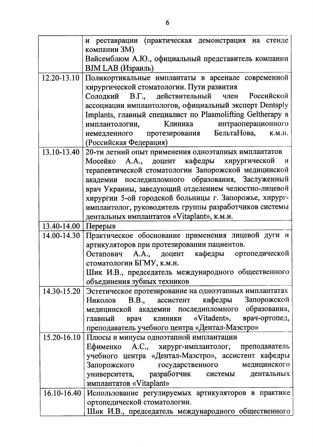|             | и реставрации (практическая демонстрация на стенде                                                      |
|-------------|---------------------------------------------------------------------------------------------------------|
|             | компании ЗМ)                                                                                            |
|             | Вайсемблюм А.Ю., официальный представитель компании                                                     |
|             | <b>ВЈМ LAB</b> (Израиль)                                                                                |
|             | 12.20-13.10 Поликортикальные имплантаты в арсенале современной                                          |
|             | хирургической стоматологии. Пути развития                                                               |
|             | Солодкий В.Г., действительный член<br>Российской                                                        |
|             | ассоциации имплантологов, официальный эксперт Dentsply                                                  |
|             | Implants, главный специалист по Plasmolifting Geltherapy в                                              |
|             | Клиника<br>интраоперационного<br>имплантологии,                                                         |
|             | немедленного протезирования БельтаНова, к.м.н.                                                          |
|             | (Российская Федерация)                                                                                  |
| 13.10-13.40 | 20-ти летний опыт применения одноэтапных имплантатов                                                    |
|             | Мосейко А.А., доцент кафедры хирургической<br>$\mathbf{M}$                                              |
|             | терапевтической стоматологии Запорожской медицинской                                                    |
|             | академии последипломного образования, Заслуженный                                                       |
|             | врач Украины, заведующий отделением челюстно-лицевой                                                    |
|             | хирургии 5-ой городской больницы г. Запорожье, хирург-                                                  |
|             | имплантолог, руководитель группы разработчиков системы                                                  |
|             | дентальных имплантатов «Vitaplant», к.м.н.                                                              |
| 13.40-14.00 | Перерыв                                                                                                 |
| 14.00-14.30 | Практическое обоснование применения лицевой дуги и                                                      |
|             | артикуляторов при протезировании пациентов.                                                             |
|             | Остапович А.А., доцент кафедры ортопедической                                                           |
|             | стоматологии БГМУ, к.м.н.                                                                               |
|             | Шик И.В., председатель международного общественного                                                     |
|             | объединения зубных техников                                                                             |
| 14.30-15.20 | Эстетическое протезирование на одноэтапных имплантатах                                                  |
|             | Николов В.В., ассистент кафедры Запорожской                                                             |
|             | медицинской академии последипломного образования,                                                       |
|             | врач клиники «Vitadent», врач-ортопед,<br>главный                                                       |
|             | преподаватель учебного центра «Дентал-Маэстро»                                                          |
| 15.20-16.10 | Плюсы и минусы одноэтапной имплантации                                                                  |
|             | Ефименко А.С., хирург-имплантолог, преподаватель<br>учебного центра «Дентал-Маэстро», ассистент кафедры |
|             | Запорожского государственного медицинского                                                              |
|             | университета, разработчик системы дентальных                                                            |
|             | имплантатов «Vitaplant»                                                                                 |
|             | 16.10-16.40 Использование регулируемых артикуляторов в практике                                         |
|             | ортопедической стоматологии.                                                                            |
|             |                                                                                                         |
|             | Шик И.В., председатель международного общественного                                                     |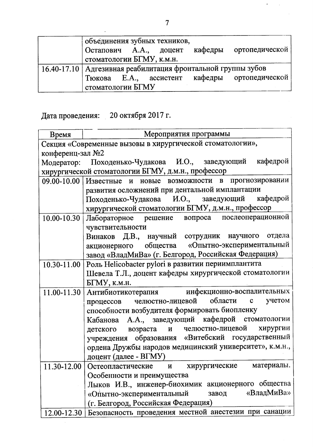| объединения зубных техников,                                   |  |  |  |  |
|----------------------------------------------------------------|--|--|--|--|
| Остапович А.А., доцент<br>кафедры<br>ортопедической            |  |  |  |  |
| стоматологии БГМУ, к.м.н.                                      |  |  |  |  |
| 16.40-17.10   Адгезивная реабилитация фронтальной группы зубов |  |  |  |  |
| Тюкова Е.А., ассистент кафедры ортопедической                  |  |  |  |  |
| стоматологии БГМУ                                              |  |  |  |  |

Дата проведения: 20 октября 2017 г.

| Время            | Мероприятия программы                                       |  |  |  |
|------------------|-------------------------------------------------------------|--|--|--|
|                  | Секция «Современные вызовы в хирургической стоматологии»,   |  |  |  |
| конференц-зал №2 |                                                             |  |  |  |
|                  | Модератор: Походенько-Чудакова И.О., заведующий кафедрой    |  |  |  |
|                  | хирургической стоматологии БГМУ, д.м.н., профессор          |  |  |  |
|                  |                                                             |  |  |  |
|                  | 09.00-10.00 Известные и новые возможности в прогнозировании |  |  |  |
|                  | развития осложнений при дентальной имплантации              |  |  |  |
|                  | Походенько-Чудакова И.О., заведующий кафедрой               |  |  |  |
|                  | хирургической стоматологии БГМУ, д.м.н., профессор          |  |  |  |
| $10.00 - 10.30$  | Лабораторное решение вопроса послеоперационной              |  |  |  |
|                  | чувствительности                                            |  |  |  |
|                  | Винаков Д.В., научный сотрудник научного отдела             |  |  |  |
|                  | акционерного общества «Опытно-экспериментальный             |  |  |  |
|                  | завод «ВладМиВа» (г. Белгород, Российская Федерация)        |  |  |  |
| $10.30 - 11.00$  | Роль Helicobacter pylori в развитии периимплантита          |  |  |  |
|                  | Шевела Т.Л., доцент кафедры хирургической стоматологии      |  |  |  |
|                  | БГМУ, к.м.н.                                                |  |  |  |
|                  | 11.00-11.30 Антибиотикотерапия инфекционно-воспалительных   |  |  |  |
|                  | челюстно-лицевой области с<br>учетом<br>процессов           |  |  |  |
|                  | способности возбудителя формировать биопленку               |  |  |  |
|                  | Кабанова А.А., заведующий кафедрой стоматологии             |  |  |  |
|                  | детского возраста и челюстно-лицевой хирургии               |  |  |  |
|                  | учреждения образования «Витебский государственный           |  |  |  |
|                  | ордена Дружбы народов медицинский университет», к.м.н.,     |  |  |  |
|                  | доцент (далее - ВГМУ)                                       |  |  |  |
|                  | 11.30-12.00 Остеопластические и хирургические материалы.    |  |  |  |
|                  | Особенности и преимущества                                  |  |  |  |
|                  | Лыков И.В., инженер-биохимик акционерного общества          |  |  |  |
|                  | «ВладМиВа»<br>«Опытно-экспериментальный<br>завод            |  |  |  |
|                  | (г. Белгород, Российская Федерация)                         |  |  |  |
| 12.00-12.30      | Безопасность проведения местной анестезии при санации       |  |  |  |
|                  |                                                             |  |  |  |

 $\mathbb{Z}^2$ 

 $\hat{\mathcal{A}}$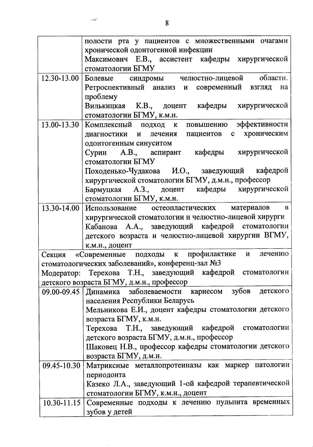|                 | полости рта у пациентов с множественными очагами                                                               |
|-----------------|----------------------------------------------------------------------------------------------------------------|
|                 | хронической одонтогенной инфекции                                                                              |
|                 | Максимович Е.В., ассистент кафедры хирургической                                                               |
|                 | стоматологии БГМУ                                                                                              |
| $12.30 - 13.00$ | Болевые синдромы челюстно-лицевой области.                                                                     |
|                 | Ретроспективный анализ и современный взгляд<br>на                                                              |
|                 | проблему<br>Вилькицкая К.В., доцент кафедры хирургической                                                      |
|                 | стоматологии БГМУ, к.м.н.                                                                                      |
| 13.00-13.30     | Комплексный подход к повышению эффективности                                                                   |
|                 | диагностики и лечения пациентов с хроническим                                                                  |
|                 | одонтогенным синуситом                                                                                         |
|                 | Сурин А.В., аспирант кафедры хирургической                                                                     |
|                 | стоматологии БГМУ                                                                                              |
|                 | Походенько-Чудакова И.О., заведующий кафедрой                                                                  |
|                 | хирургической стоматологии БГМУ, д.м.н., профессор                                                             |
|                 | Бармуцкая А.З., доцент кафедры хирургической                                                                   |
|                 | стоматологии БГМУ, к.м.н.                                                                                      |
| 13.30-14.00     | Использование остеопластических материалов в                                                                   |
|                 | хирургической стоматологии и челюстно-лицевой хирурги                                                          |
|                 | Кабанова А.А., заведующий кафедрой стоматологии                                                                |
|                 | детского возраста и челюстно-лицевой хирургии ВГМУ,                                                            |
|                 | к.м.н., доцент                                                                                                 |
|                 | Секция «Современные подходы к профилактике и лечению                                                           |
|                 | стоматологических заболеваний», конференц-зал №3<br>Модератор: Терехова Т.Н., заведующий кафедрой стоматологии |
|                 |                                                                                                                |
|                 | детского возраста БГМУ, д.м.н., профессор<br>заболеваемости кариесом зубов детского                            |
|                 | 09.00-09.45   Динамика<br>населения Республики Беларусь                                                        |
|                 | Мельникова Е.И., доцент кафедры стоматологии детского                                                          |
|                 | возраста БГМУ, к.м.н.                                                                                          |
|                 | Терехова Т.Н., заведующий кафедрой стоматологии                                                                |
|                 | детского возраста БГМУ, д.м.н., профессор                                                                      |
|                 | Шаковец Н.В., профессор кафедры стоматологии детского                                                          |
|                 | возраста БГМУ, д.м.н.                                                                                          |
| 09.45-10.30     | Матриксные металлопротеиназы как маркер патологии                                                              |
|                 | периодонта                                                                                                     |
|                 | Казеко Л.А., заведующий 1-ой кафедрой терапевтической                                                          |
|                 | стоматологии БГМУ, к.м.н., доцент                                                                              |
| $10.30 - 11.15$ | Современные подходы к лечению пульпита временных                                                               |
|                 | зубов у детей                                                                                                  |

أنعب

 $\ddot{\phantom{0}}$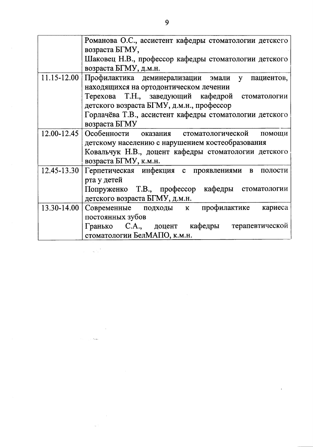|                 | Романова О.С., ассистент кафедры стоматологии детского  |
|-----------------|---------------------------------------------------------|
|                 | возраста БГМУ,                                          |
|                 | Шаковец Н.В., профессор кафедры стоматологии детского   |
|                 | возраста БГМУ, д.м.н.                                   |
| $11.15 - 12.00$ | Профилактика деминерализации эмали у пациентов,         |
|                 | находящихся на ортодонтическом лечении                  |
|                 | Терехова Т.Н., заведующий кафедрой стоматологии         |
|                 | детского возраста БГМУ, д.м.н., профессор               |
|                 | Горлачёва Т.В., ассистент кафедры стоматологии детского |
|                 | возраста БГМУ                                           |
| $12.00 - 12.45$ | Особенности оказания стоматологической помощи           |
|                 | детскому населению с нарушением костеобразования        |
|                 | Ковальчук Н.В., доцент кафедры стоматологии детского    |
|                 | возраста БГМУ, к.м.н.                                   |
| $12.45 - 13.30$ | Герпетическая инфекция с проявлениями в<br>полости      |
|                 | рта у детей                                             |
|                 | Попруженко Т.В., профессор кафедры стоматологии         |
|                 | детского возраста БГМУ, д.м.н.                          |
| 13.30-14.00     | Современные подходы к профилактике кариеса              |
|                 | постоянных зубов                                        |
|                 | Гранько С.А., доцент кафедры терапевтической            |
|                 | стоматологии БелМАПО, к.м.н.                            |
|                 |                                                         |

 $\mathcal{L}^{\text{max}}_{\text{max}}$ 

 $\label{eq:2.1} \frac{1}{\sqrt{2\pi}}\int_{\mathbb{R}^3}\frac{1}{\sqrt{2\pi}}\int_{\mathbb{R}^3}\frac{1}{\sqrt{2\pi}}\int_{\mathbb{R}^3}\frac{1}{\sqrt{2\pi}}\int_{\mathbb{R}^3}\frac{1}{\sqrt{2\pi}}\int_{\mathbb{R}^3}\frac{1}{\sqrt{2\pi}}\int_{\mathbb{R}^3}\frac{1}{\sqrt{2\pi}}\int_{\mathbb{R}^3}\frac{1}{\sqrt{2\pi}}\int_{\mathbb{R}^3}\frac{1}{\sqrt{2\pi}}\int_{\mathbb{R}^3}\frac{1$ 

 $\label{eq:2} \mathcal{L}(\mathcal{L}^{\text{max}}_{\mathcal{L}}(\mathcal{L}^{\text{max}}_{\mathcal{L}}(\mathcal{L}^{\text{max}}_{\mathcal{L}})))$ 

 $\label{eq:1} \mathcal{L}(\mathcal{L}^{\text{max}}_{\text{max}}(\mathcal{L}^{\text{max}}_{\text{max}})) \leq \frac{1}{2} \sum_{i=1}^{n} \mathcal{L}^{\text{max}}_{\text{max}}(\mathcal{L}^{\text{max}}_{\text{max}})$ 

 $\mathcal{L}^{\text{max}}_{\text{max}}$  and  $\mathcal{L}^{\text{max}}_{\text{max}}$ 

 $\overline{9}$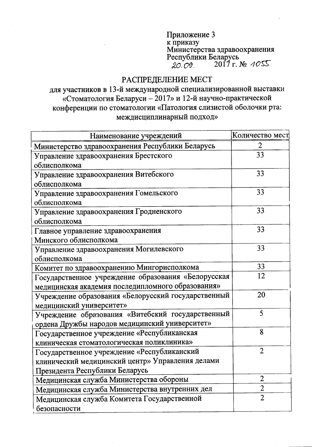Приложение 3 Приложение<br>к приказу<br>Министерства здравоохранения<br>Республики Беларусь<br>2017 г. № 4055

## РАСПРЕДЕЛЕНИЕ МЕСТ

для участников в 13-й международной специализированной выставки «Стоматология Беларуси - 2017» и 12-й научно-практической конференции по стоматологии «Патология слизистой оболочки рта: междисциплинарный подход»

| Наименование учреждений                             | Количество мест |
|-----------------------------------------------------|-----------------|
| Министерство здравоохранения Республики Беларусь    | 2               |
| Управление здравоохранения Брестского               | 33              |
| облисполкома                                        |                 |
| Управление здравоохранения Витебского               | 33              |
| облисполкома                                        |                 |
| Управление здравоохранения Гомельского              | 33              |
| облисполкома                                        |                 |
| Управление здравоохранения Гродненского             | 33              |
| облисполкома                                        |                 |
| Главное управление здравоохранения                  | 33              |
| Минского облисполкома                               |                 |
| Управление здравоохранения Могилевского             | 33              |
| облисполкома                                        |                 |
| Комитет по здравоохранению Мингорисполкома          | 33              |
| Государственное учреждение образования «Белорусская | 12              |
| медицинская академия последипломного образования»   |                 |
| Учреждение образования «Белорусский государственный | 20              |
| медицинский университет»                            |                 |
| Учреждение образования «Витебский государственный   | 5               |
| ордена Дружбы народов медицинский университет»      |                 |
| Государственное учреждение «Республиканская         | 8               |
| клиническая стоматологическая поликлиника»          |                 |
| Государственное учреждение «Республиканский         | $\overline{2}$  |
| клинический медицинский центр» Управления делами    |                 |
| Президента Республики Беларусь                      |                 |
| Медицинская служба Министерства обороны             | $\overline{2}$  |
| Медицинская служба Министерства внутренних дел      | $\overline{2}$  |
| Медицинская служба Комитета Государственной         | $\overline{2}$  |
| безопасности                                        |                 |